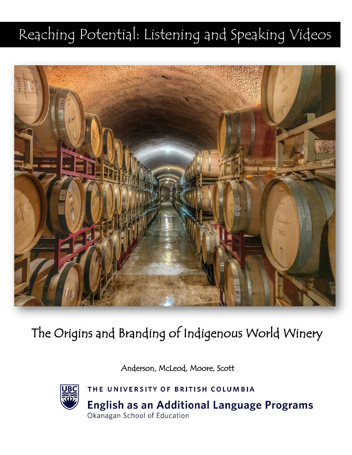# Reaching Potential: Listening and Speaking Videos



# The Origins and Branding of Indigenous World Winery

Anderson, McLeod, Moore, Scott



THE UNIVERSITY OF BRITISH COLUMBIA **English as an Additional Language Programs** Okanagan School of Education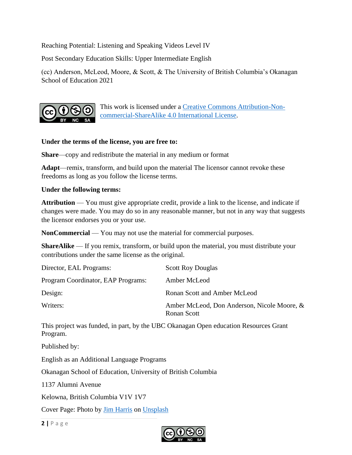Reaching Potential: Listening and Speaking Videos Level IV

Post Secondary Education Skills: Upper Intermediate English

(cc) Anderson, McLeod, Moore, & Scott, & The University of British Columbia's Okanagan School of Education 2021



This work is licensed under a [Creative Commons Attribution-Non](http://creativecommons.org/licenses/by-nc-sa/4.0/)[commercial-ShareAlike 4.0 International License.](http://creativecommons.org/licenses/by-nc-sa/4.0/)

#### **Under the terms of the license, you are free to:**

**Share**—copy and redistribute the material in any medium or format

**Adapt**—remix, transform, and build upon the material The licensor cannot revoke these freedoms as long as you follow the license terms.

#### **Under the following terms:**

**Attribution** — You must give appropriate credit, provide a link to the license, and indicate if changes were made. You may do so in any reasonable manner, but not in any way that suggests the licensor endorses you or your use.

**NonCommercial** — You may not use the material for commercial purposes.

**ShareAlike** — If you remix, transform, or build upon the material, you must distribute your contributions under the same license as the original.

| Director, EAL Programs:            | <b>Scott Roy Douglas</b>                                   |
|------------------------------------|------------------------------------------------------------|
| Program Coordinator, EAP Programs: | Amber McLeod                                               |
| Design:                            | Ronan Scott and Amber McLeod                               |
| Writers:                           | Amber McLeod, Don Anderson, Nicole Moore, &<br>Ronan Scott |

This project was funded, in part, by the UBC Okanagan Open education Resources Grant Program.

Published by:

English as an Additional Language Programs

Okanagan School of Education, University of British Columbia

1137 Alumni Avenue

Kelowna, British Columbia V1V 1V7

Cover Page: Photo by [Jim Harris](https://unsplash.com/@jamesharris_photography?utm_source=unsplash&utm_medium=referral&utm_content=creditCopyText) on [Unsplash](https://unsplash.com/s/photos/winery?utm_source=unsplash&utm_medium=referral&utm_content=creditCopyText)

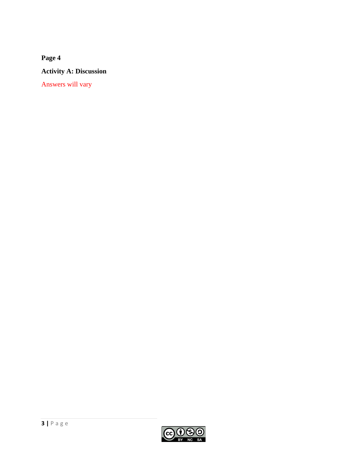**Activity A: Discussion** 

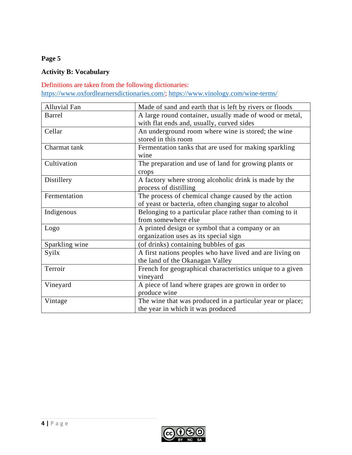# **Activity B: Vocabulary**

#### Definitions are taken from the following dictionaries:

[https://www.oxfordlearnersdictionaries.com/;](https://www.oxfordlearnersdictionaries.com/)<https://www.vinology.com/wine-terms/>

| <b>Alluvial Fan</b> | Made of sand and earth that is left by rivers or floods   |
|---------------------|-----------------------------------------------------------|
| <b>Barrel</b>       | A large round container, usually made of wood or metal,   |
|                     | with flat ends and, usually, curved sides                 |
| Cellar              | An underground room where wine is stored; the wine        |
|                     | stored in this room                                       |
| Charmat tank        | Fermentation tanks that are used for making sparkling     |
|                     | wine                                                      |
| Cultivation         | The preparation and use of land for growing plants or     |
|                     | crops                                                     |
| Distillery          | A factory where strong alcoholic drink is made by the     |
|                     | process of distilling                                     |
| Fermentation        | The process of chemical change caused by the action       |
|                     | of yeast or bacteria, often changing sugar to alcohol     |
| Indigenous          | Belonging to a particular place rather than coming to it  |
|                     | from somewhere else                                       |
| Logo                | A printed design or symbol that a company or an           |
|                     | organization uses as its special sign                     |
| Sparkling wine      | (of drinks) containing bubbles of gas                     |
| Syilx               | A first nations peoples who have lived and are living on  |
|                     | the land of the Okanagan Valley                           |
| Terroir             | French for geographical characteristics unique to a given |
|                     | vineyard                                                  |
| Vineyard            | A piece of land where grapes are grown in order to        |
|                     | produce wine                                              |
| Vintage             | The wine that was produced in a particular year or place; |
|                     | the year in which it was produced                         |

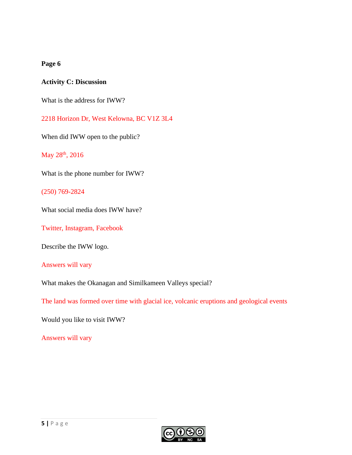#### **Activity C: Discussion**

What is the address for IWW?

2218 Horizon Dr, West Kelowna, BC V1Z 3L4

When did IWW open to the public?

May 28<sup>th</sup>, 2016

What is the phone number for IWW?

(250) 769-2824

What social media does IWW have?

Twitter, Instagram, Facebook

Describe the IWW logo.

Answers will vary

What makes the Okanagan and Similkameen Valleys special?

The land was formed over time with glacial ice, volcanic eruptions and geological events

Would you like to visit IWW?

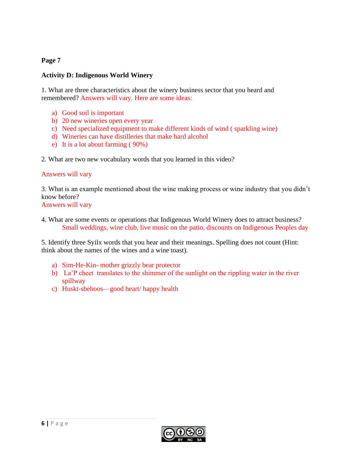#### **Activity D: Indigenous World Winery**

1. What are three characteristics about the winery business sector that you heard and remembered? Answers will vary. Here are some ideas:

- a) Good soil is important
- b) 20 new wineries open every year
- c) Need specialized equipment to make different kinds of wind ( sparkling wine)
- d) Wineries can have distilleries that make hard alcohol
- e) It is a lot about farming ( 90%)
- 2. What are two new vocabulary words that you learned in this video?

#### Answers will vary

3. What is an example mentioned about the wine making process or wine industry that you didn't know before?

Answers will vary

4. What are some events or operations that Indigenous World Winery does to attract business? Small weddings, wine club, live music on the patio, discounts on Indigenous Peoples day

5. Identify three Syilx words that you hear and their meanings. Spelling does not count (Hint: think about the names of the wines and a wine toast).

- a) Sim-He-Kin- mother grizzly bear protector
- b) La'P cheet translates to the shimmer of the sunlight on the rippling water in the river spillway
- c) Huskt-sbehoos—good heart/ happy health

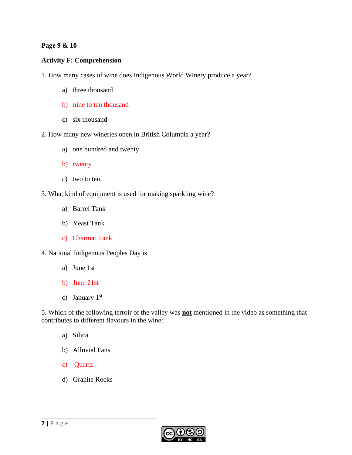#### **Page 9 & 10**

#### **Activity F: Comprehension**

- 1. How many cases of wine does Indigenous World Winery produce a year?
	- a) three thousand
	- b) nine to ten thousand
	- c) six thousand
- 2. How many new wineries open in British Columbia a year?
	- a) one hundred and twenty
	- b) twenty
	- c) two to ten
- 3. What kind of equipment is used for making sparkling wine?
	- a) Barrel Tank
	- b) Yeast Tank
	- c) Charmat Tank
- 4. National Indigenous Peoples Day is
	- a) June 1st
	- b) June 21st
	- c) January  $1<sup>st</sup>$

5. Which of the following terroir of the valley was **not** mentioned in the video as something that contributes to different flavours in the wine:

- a) Silica
- b) Alluvial Fans
- c) Quartz
- d) Granite Rocks



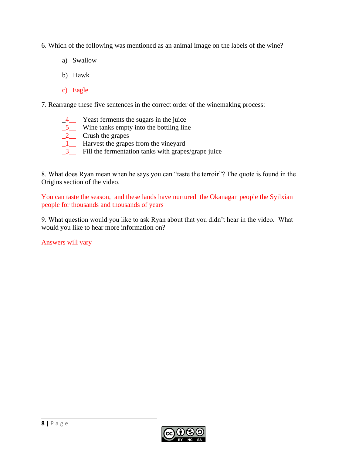6. Which of the following was mentioned as an animal image on the labels of the wine?

- a) Swallow
- b) Hawk
- c) Eagle

7. Rearrange these five sentences in the correct order of the winemaking process:

- \_4\_\_ Yeast ferments the sugars in the juice
- \_5\_\_ Wine tanks empty into the bottling line
- $2$  Crush the grapes
- \_1\_\_ Harvest the grapes from the vineyard
- \_3\_\_ Fill the fermentation tanks with grapes/grape juice

8. What does Ryan mean when he says you can "taste the terroir"? The quote is found in the Origins section of the video.

You can taste the season, and these lands have nurtured the Okanagan people the Syilxian people for thousands and thousands of years

9. What question would you like to ask Ryan about that you didn't hear in the video. What would you like to hear more information on?